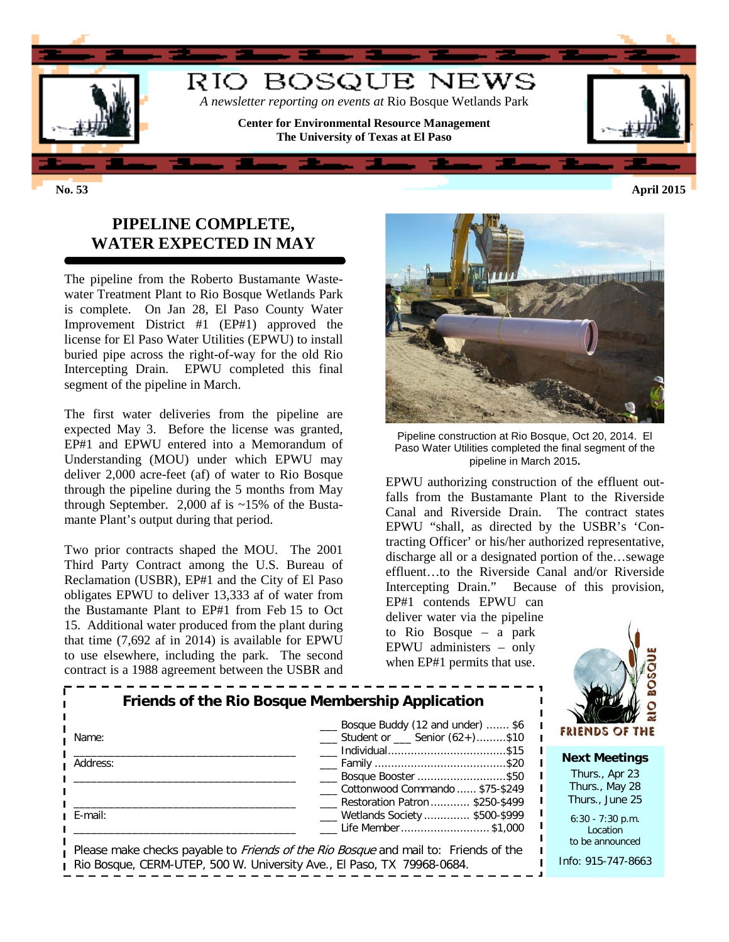

## **PIPELINE COMPLETE, WATER EXPECTED IN MAY**

The pipeline from the Roberto Bustamante Wastewater Treatment Plant to Rio Bosque Wetlands Park is complete. On Jan 28, El Paso County Water Improvement District #1 (EP#1) approved the license for El Paso Water Utilities (EPWU) to install buried pipe across the right-of-way for the old Rio Intercepting Drain. EPWU completed this final segment of the pipeline in March.

The first water deliveries from the pipeline are expected May 3. Before the license was granted, EP#1 and EPWU entered into a Memorandum of Understanding (MOU) under which EPWU may deliver 2,000 acre-feet (af) of water to Rio Bosque through the pipeline during the 5 months from May through September. 2,000 af is  $\sim$ 15% of the Bustamante Plant's output during that period.

Two prior contracts shaped the MOU. The 2001 Third Party Contract among the U.S. Bureau of Reclamation (USBR), EP#1 and the City of El Paso obligates EPWU to deliver 13,333 af of water from the Bustamante Plant to EP#1 from Feb 15 to Oct 15. Additional water produced from the plant during that time (7,692 af in 2014) is available for EPWU to use elsewhere, including the park. The second contract is a 1988 agreement between the USBR and



Pipeline construction at Rio Bosque, Oct 20, 2014. El Paso Water Utilities completed the final segment of the pipeline in March 2015**.**

EPWU authorizing construction of the effluent outfalls from the Bustamante Plant to the Riverside Canal and Riverside Drain. The contract states EPWU "shall, as directed by the USBR's 'Contracting Officer' or his/her authorized representative, discharge all or a designated portion of the…sewage effluent…to the Riverside Canal and/or Riverside Intercepting Drain." Because of this provision, EP#1 contends EPWU can

deliver water via the pipeline to Rio Bosque – a park EPWU administers – only when EP#1 permits that use.



|          | Friends of the Rio Bosque Membership Application                                           |  |
|----------|--------------------------------------------------------------------------------------------|--|
| Name:    | Bosque Buddy (12 and under)  \$6<br>___ Student or ___ Senior (62+)\$10                    |  |
| Address: | Bosque Booster \$50                                                                        |  |
|          | Cottonwood Commando  \$75-\$249<br>__ Restoration Patron  \$250-\$499                      |  |
| E-mail:  | ___ Wetlands Society  \$500-\$999<br>Life Member\$1,000                                    |  |
|          | Please make checks payable to <i>Friends of the Rio Bosque</i> and mail to: Friends of the |  |

Rio Bosque, CERM-UTEP, 500 W. University Ave., El Paso, TX 79968-0684.

**Next Meetings** Thurs., Apr 23 Thurs., May 28

Thurs., June 25 6:30 - 7:30 p.m. Location

to be announced Info: 915-747-8663